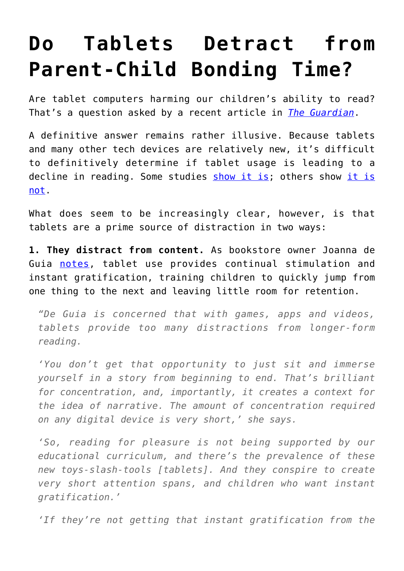## **[Do Tablets Detract from](https://intellectualtakeout.org/2015/08/do-tablets-detract-from-parent-child-bonding-time/) [Parent-Child Bonding Time?](https://intellectualtakeout.org/2015/08/do-tablets-detract-from-parent-child-bonding-time/)**

Are tablet computers harming our children's ability to read? That's a question asked by a recent article in *[The Guardian](http://www.theguardian.com/technology/2015/aug/24/tablets-apps-harm-help-children-read)*.

A definitive answer remains rather illusive. Because tablets and many other tech devices are relatively new, it's difficult to definitively determine if tablet usage is leading to a decline in reading. Some studies [show it is](http://www.scholastic.com/readingreport/the-state-of-kids-and-reading.htm); others show [it is](http://www.literacytrust.org.uk/assets/0002/6896/Children_and_Young_People_s_Reading_in_2014.pdf) [not.](http://www.literacytrust.org.uk/assets/0002/6896/Children_and_Young_People_s_Reading_in_2014.pdf)

What does seem to be increasingly clear, however, is that tablets are a prime source of distraction in two ways:

**1. They distract from content.** As bookstore owner Joanna de Guia [notes,](http://www.theguardian.com/technology/2015/aug/24/tablets-apps-harm-help-children-read) tablet use provides continual stimulation and instant gratification, training children to quickly jump from one thing to the next and leaving little room for retention.

*"De Guia is concerned that with games, apps and videos, tablets provide too many distractions from longer-form reading.*

*'You don't get that opportunity to just sit and immerse yourself in a story from beginning to end. That's brilliant for concentration, and, importantly, it creates a context for the idea of narrative. The amount of concentration required on any digital device is very short,' she says.*

*'So, reading for pleasure is not being supported by our educational curriculum, and there's the prevalence of these new toys-slash-tools [tablets]. And they conspire to create very short attention spans, and children who want instant gratification.'*

*'If they're not getting that instant gratification from the*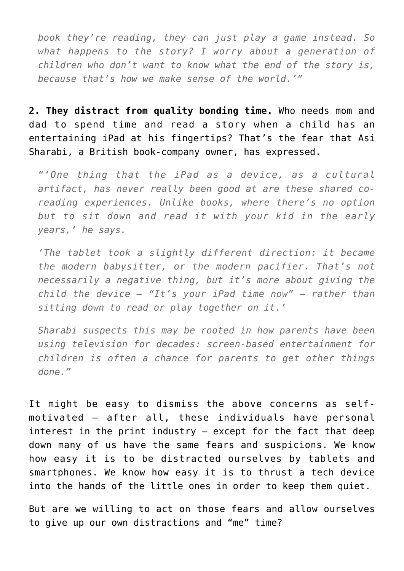*book they're reading, they can just play a game instead. So what happens to the story? I worry about a generation of children who don't want to know what the end of the story is, because that's how we make sense of the world.'"*

**2. They distract from quality bonding time.** Who needs mom and dad to spend time and read a story when a child has an entertaining iPad at his fingertips? That's the fear that Asi Sharabi, a British book-company owner, has expressed.

*"'One thing that the iPad as a device, as a cultural artifact, has never really been good at are these shared coreading experiences. Unlike books, where there's no option but to sit down and read it with your kid in the early years,' he says.*

*'The tablet took a slightly different direction: it became the modern babysitter, or the modern pacifier. That's not necessarily a negative thing, but it's more about giving the child the device – "It's your iPad time now" – rather than sitting down to read or play together on it.'*

*Sharabi suspects this may be rooted in how parents have been using television for decades: screen-based entertainment for children is often a chance for parents to get other things done."*

It might be easy to dismiss the above concerns as selfmotivated – after all, these individuals have personal interest in the print industry – except for the fact that deep down many of us have the same fears and suspicions. We know how easy it is to be distracted ourselves by tablets and smartphones. We know how easy it is to thrust a tech device into the hands of the little ones in order to keep them quiet.

But are we willing to act on those fears and allow ourselves to give up our own distractions and "me" time?